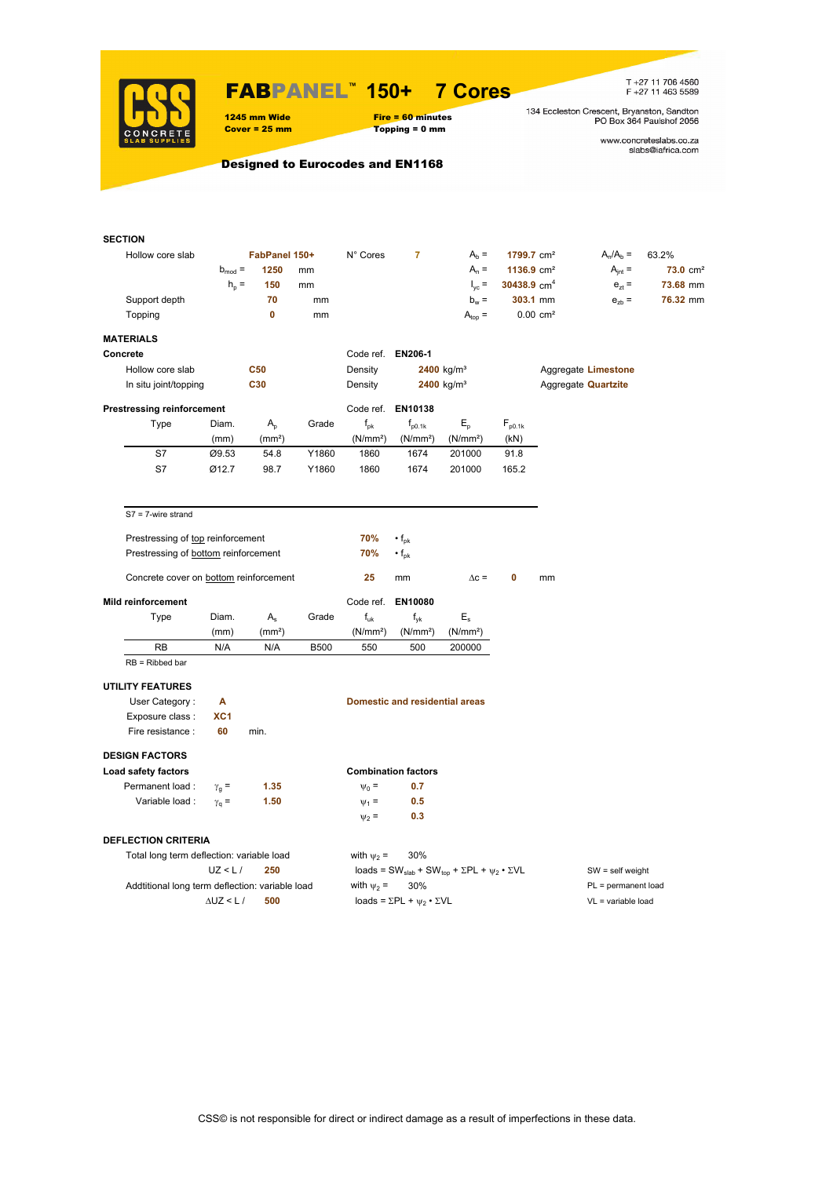

## FABPANEL**™ 150+ 7 Cores**

### 1245 mm Wide Fire = 60 minutes<br>
Cover = 25 mm Topping = 0 mm  $Topping = 0$  mm

T +27 11 706 4560<br>F +27 11 463 5589

134 Eccleston Crescent, Bryanston, Sandton<br>PO Box 364 Paulshof 2056

www.concreteslabs.co.za<br>slabs@iafrica.com

Designed to Eurocodes and EN1168

| <b>SECTION</b>                                  |                   |                    |             |                      |                                                |                                                                                         |                        |                            |                       |                     |  |  |
|-------------------------------------------------|-------------------|--------------------|-------------|----------------------|------------------------------------------------|-----------------------------------------------------------------------------------------|------------------------|----------------------------|-----------------------|---------------------|--|--|
| Hollow core slab                                |                   | FabPanel 150+      |             | N° Cores             | $\overline{7}$                                 | $Ab =$                                                                                  | 1799.7 cm <sup>2</sup> |                            | $A_n/A_b =$           | 63.2%               |  |  |
|                                                 | $b_{mod} =$       | 1250               | mm          |                      |                                                | $A_n =$                                                                                 | 1136.9 $cm2$           |                            | $A_{int} =$           | $73.0 \text{ cm}^2$ |  |  |
|                                                 | $h_{\rm p}$ =     | 150                | mm          |                      |                                                | $I_{\text{vc}} =$                                                                       | 30438.9 $cm4$          |                            | $e_{7}$ =             | 73.68 mm            |  |  |
| Support depth                                   |                   | 70                 | mm          |                      |                                                | $b_w =$                                                                                 |                        | 303.1 mm                   | $e_{zb}$ =            | 76.32 mm            |  |  |
| Topping                                         |                   | $\mathbf 0$        | mm          |                      |                                                | $A_{top} =$                                                                             |                        | $0.00$ cm <sup>2</sup>     |                       |                     |  |  |
|                                                 |                   |                    |             |                      |                                                |                                                                                         |                        |                            |                       |                     |  |  |
| <b>MATERIALS</b>                                |                   |                    |             |                      |                                                |                                                                                         |                        |                            |                       |                     |  |  |
| Concrete                                        |                   |                    |             | Code ref. EN206-1    |                                                |                                                                                         |                        |                            |                       |                     |  |  |
| Hollow core slab                                |                   | <b>C50</b>         |             | Density              |                                                | $2400$ kg/m <sup>3</sup>                                                                |                        |                            | Aggregate Limestone   |                     |  |  |
| In situ joint/topping                           |                   | C30                |             | Density              |                                                | $2400$ kg/m <sup>3</sup>                                                                |                        | Aggregate <b>Quartzite</b> |                       |                     |  |  |
| <b>Prestressing reinforcement</b>               |                   |                    |             |                      | Code ref. EN10138                              |                                                                                         |                        |                            |                       |                     |  |  |
| <b>Type</b>                                     | Diam.             | $A_{p}$            | Grade       | $f_{pk}$             | $f_{p0.1k}$                                    | $E_{\rm p}$                                                                             | $F_{p0.1k}$            |                            |                       |                     |  |  |
|                                                 | (mm)              | (mm <sup>2</sup> ) |             | (N/mm <sup>2</sup> ) | (N/mm <sup>2</sup> )                           | (N/mm <sup>2</sup> )                                                                    | (kN)                   |                            |                       |                     |  |  |
| S7                                              | Ø9.53             | 54.8               | Y1860       | 1860                 | 1674                                           | 201000                                                                                  | 91.8                   |                            |                       |                     |  |  |
| S7                                              | Ø12.7             | 98.7               | Y1860       | 1860                 | 1674                                           | 201000                                                                                  | 165.2                  |                            |                       |                     |  |  |
|                                                 |                   |                    |             |                      |                                                |                                                                                         |                        |                            |                       |                     |  |  |
| $S7 = 7$ -wire strand                           |                   |                    |             |                      |                                                |                                                                                         |                        |                            |                       |                     |  |  |
| Prestressing of top reinforcement               |                   |                    |             | 70%                  | $\cdot$ f <sub>pk</sub>                        |                                                                                         |                        |                            |                       |                     |  |  |
| Prestressing of bottom reinforcement            |                   |                    |             | 70%                  | $\cdot f_{\rm pk}$                             |                                                                                         |                        |                            |                       |                     |  |  |
|                                                 |                   |                    |             |                      |                                                |                                                                                         |                        |                            |                       |                     |  |  |
| Concrete cover on bottom reinforcement          |                   |                    |             | 25                   | mm                                             | $\Delta c =$                                                                            | 0                      | mm                         |                       |                     |  |  |
| <b>Mild reinforcement</b>                       |                   |                    |             |                      | Code ref. EN10080                              |                                                                                         |                        |                            |                       |                     |  |  |
| Type                                            | Diam.             | $A_{s}$            | Grade       | $f_{uk}$             | $f_{\rm vk}$                                   | $E_{s}$                                                                                 |                        |                            |                       |                     |  |  |
|                                                 | (mm)              | (mm <sup>2</sup> ) |             | (N/mm <sup>2</sup> ) | (N/mm <sup>2</sup> )                           | (N/mm <sup>2</sup> )                                                                    |                        |                            |                       |                     |  |  |
| <b>RB</b>                                       | N/A               | N/A                | <b>B500</b> | 550                  | 500                                            | 200000                                                                                  |                        |                            |                       |                     |  |  |
| $RB = Ribbed bar$                               |                   |                    |             |                      |                                                |                                                                                         |                        |                            |                       |                     |  |  |
| <b>UTILITY FEATURES</b>                         |                   |                    |             |                      |                                                |                                                                                         |                        |                            |                       |                     |  |  |
| User Category:                                  | Α                 |                    |             |                      | <b>Domestic and residential areas</b>          |                                                                                         |                        |                            |                       |                     |  |  |
| Exposure class:                                 | XC <sub>1</sub>   |                    |             |                      |                                                |                                                                                         |                        |                            |                       |                     |  |  |
| Fire resistance :                               | 60                | min.               |             |                      |                                                |                                                                                         |                        |                            |                       |                     |  |  |
|                                                 |                   |                    |             |                      |                                                |                                                                                         |                        |                            |                       |                     |  |  |
| <b>DESIGN FACTORS</b>                           |                   |                    |             |                      |                                                |                                                                                         |                        |                            |                       |                     |  |  |
| Load safety factors                             |                   |                    |             |                      | <b>Combination factors</b>                     |                                                                                         |                        |                            |                       |                     |  |  |
| Permanent load:                                 | $\gamma_{q}$ =    | 1.35               |             | $\Psi_0 =$           | 0.7                                            |                                                                                         |                        |                            |                       |                     |  |  |
| Variable load :                                 | $\gamma_q =$      | 1.50               |             | $\Psi_1 =$           | 0.5                                            |                                                                                         |                        |                            |                       |                     |  |  |
|                                                 |                   |                    |             | $\Psi_2$ =           | 0.3                                            |                                                                                         |                        |                            |                       |                     |  |  |
| <b>DEFLECTION CRITERIA</b>                      |                   |                    |             |                      |                                                |                                                                                         |                        |                            |                       |                     |  |  |
| Total long term deflection: variable load       |                   |                    |             | with $\psi_2$ =      | 30%                                            |                                                                                         |                        |                            |                       |                     |  |  |
|                                                 | UZ < L/           | 250                |             |                      |                                                | loads = SW <sub>slab</sub> + SW <sub>top</sub> + $\Sigma$ PL + $\psi_2 \cdot \Sigma$ VL |                        | $SW = self weight$         |                       |                     |  |  |
| Addtitional long term deflection: variable load |                   |                    |             | with $\psi_2$ =      | 30%                                            |                                                                                         |                        |                            | $PL = permanent load$ |                     |  |  |
|                                                 | $\Delta$ UZ < L / | 500                |             |                      | loads = $\Sigma$ PL + $\psi_2 \cdot \Sigma$ VL |                                                                                         |                        |                            | VL = variable load    |                     |  |  |
|                                                 |                   |                    |             |                      |                                                |                                                                                         |                        |                            |                       |                     |  |  |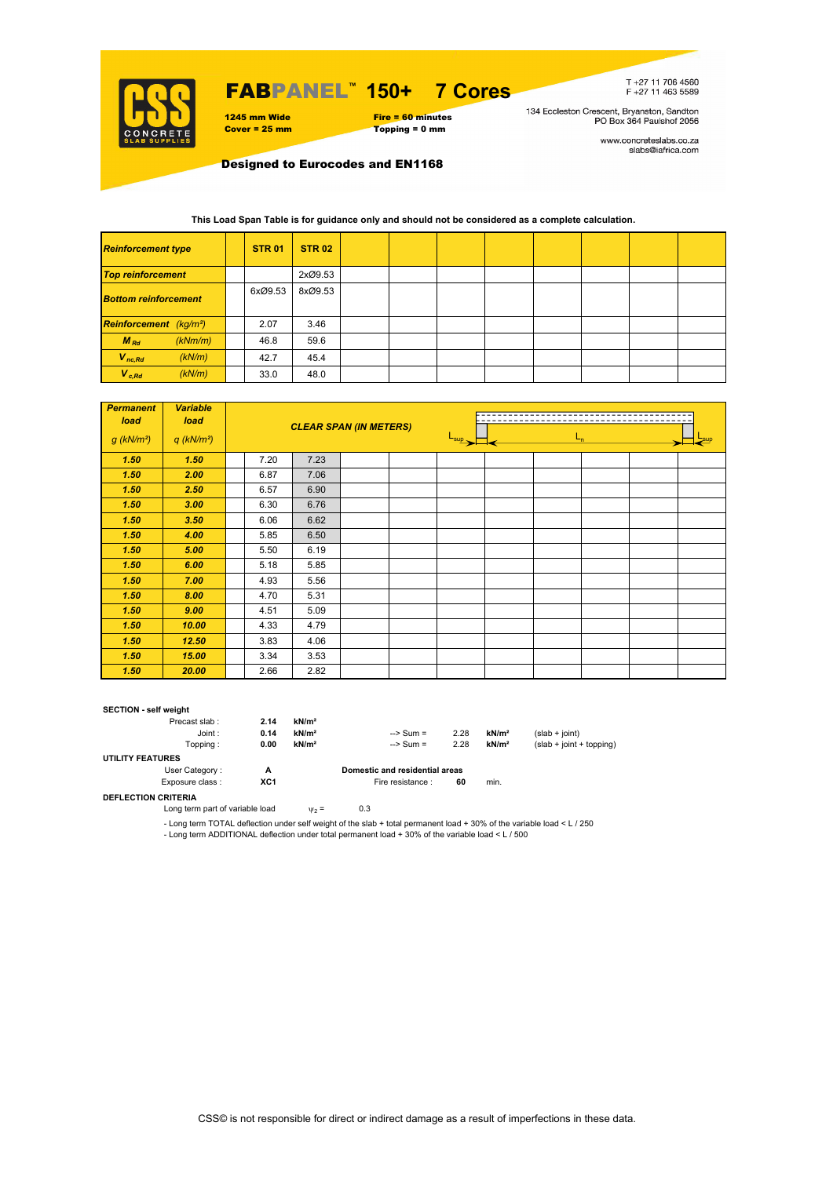

## FABPANEL**™ 150+ 7 Cores**



T+27 11 706 4560<br>F+27 11 463 5589

134 Eccleston Crescent, Bryanston, Sandton<br>PO Box 364 Paulshof 2056

www.concreteslabs.co.za<br>slabs@iafrica.com

Designed to Eurocodes and EN1168

#### **This Load Span Table is for guidance only and should not be considered as a complete calculation.**

| <b>Reinforcement type</b>          |  | <b>STR 01</b> | <b>STR 02</b> |  |  |  |  |
|------------------------------------|--|---------------|---------------|--|--|--|--|
| <b>Top reinforcement</b>           |  |               | 2xØ9.53       |  |  |  |  |
| <b>Bottom reinforcement</b>        |  | 6xØ9.53       | 8xØ9.53       |  |  |  |  |
| Reinforcement (kg/m <sup>2</sup> ) |  | 2.07          | 3.46          |  |  |  |  |
| $M_{Rd}$<br>(kNm/m)                |  | 46.8          | 59.6          |  |  |  |  |
| $V_{nc,Rd}$<br>(kN/m)              |  | 42.7          | 45.4          |  |  |  |  |
| $V_{c, Rd}$<br>(kN/m)              |  | 33.0          | 48.0          |  |  |  |  |

| <b>Permanent</b><br>load | <b>Variable</b><br>load  |                                                                                                                                                                                                                                               |                             |         |  |  |  |  |
|--------------------------|--------------------------|-----------------------------------------------------------------------------------------------------------------------------------------------------------------------------------------------------------------------------------------------|-----------------------------|---------|--|--|--|--|
| $g$ (kN/m <sup>2</sup> ) | $q$ (kN/m <sup>2</sup> ) | <b>CLEAR SPAN (IN METERS)</b><br>7.20<br>7.23<br>6.87<br>7.06<br>6.57<br>6.90<br>6.30<br>6.76<br>6.62<br>6.06<br>6.50<br>5.85<br>6.19<br>5.50<br>5.18<br>5.85<br>4.93<br>5.56<br>5.31<br>4.70<br>4.51<br>5.09<br>4.33<br>4.79<br>3.83<br>4.06 | $\frac{L_{\sup}}{L_{\sup}}$ | $L_{n}$ |  |  |  |  |
| 1.50                     | 1.50                     |                                                                                                                                                                                                                                               |                             |         |  |  |  |  |
| 1.50                     | 2.00                     |                                                                                                                                                                                                                                               |                             |         |  |  |  |  |
| 1.50                     | 2.50                     |                                                                                                                                                                                                                                               |                             |         |  |  |  |  |
| 1.50                     | 3.00                     |                                                                                                                                                                                                                                               |                             |         |  |  |  |  |
| 1.50                     | 3.50                     |                                                                                                                                                                                                                                               |                             |         |  |  |  |  |
| 1.50                     | 4.00                     |                                                                                                                                                                                                                                               |                             |         |  |  |  |  |
| 1.50                     | 5.00                     |                                                                                                                                                                                                                                               |                             |         |  |  |  |  |
| 1.50                     | 6.00                     |                                                                                                                                                                                                                                               |                             |         |  |  |  |  |
| 1.50                     | 7.00                     |                                                                                                                                                                                                                                               |                             |         |  |  |  |  |
| 1.50                     | 8.00                     |                                                                                                                                                                                                                                               |                             |         |  |  |  |  |
| 1.50                     | 9.00                     |                                                                                                                                                                                                                                               |                             |         |  |  |  |  |
| 1.50                     | 10.00                    |                                                                                                                                                                                                                                               |                             |         |  |  |  |  |
| 1.50                     | 12.50                    |                                                                                                                                                                                                                                               |                             |         |  |  |  |  |
| 1.50                     | 15.00                    | 3.34                                                                                                                                                                                                                                          | 3.53                        |         |  |  |  |  |
| 1.50                     | 20.00                    | 2.66                                                                                                                                                                                                                                          | 2.82                        |         |  |  |  |  |

#### **SECTION - self weight**

| Precast slab:           | 2.14 | kN/m <sup>2</sup> |                                |      |                   |                            |
|-------------------------|------|-------------------|--------------------------------|------|-------------------|----------------------------|
| Joint:                  | 0.14 | kN/m <sup>2</sup> | $\Rightarrow$ Sum =            | 2.28 | kN/m <sup>2</sup> | $(slab + joint)$           |
| Topping :               | 0.00 | kN/m <sup>2</sup> | $\Rightarrow$ Sum =            | 2.28 | kN/m <sup>2</sup> | $(slab + joint + topping)$ |
| <b>UTILITY FEATURES</b> |      |                   |                                |      |                   |                            |
| User Category:          | А    |                   | Domestic and residential areas |      |                   |                            |
| Exposure class:         | XC1  |                   | Fire resistance :              | 60   | min.              |                            |
|                         |      |                   |                                |      |                   |                            |

**DEFLECTION CRITERIA**

Long term part of variable load  $v_2 = 0.3$ 

- Long term TOTAL deflection under self weight of the slab + total permanent load + 30% of the variable load < L / 250 - Long term ADDITIONAL deflection under total permanent load + 30% of the variable load < L / 500